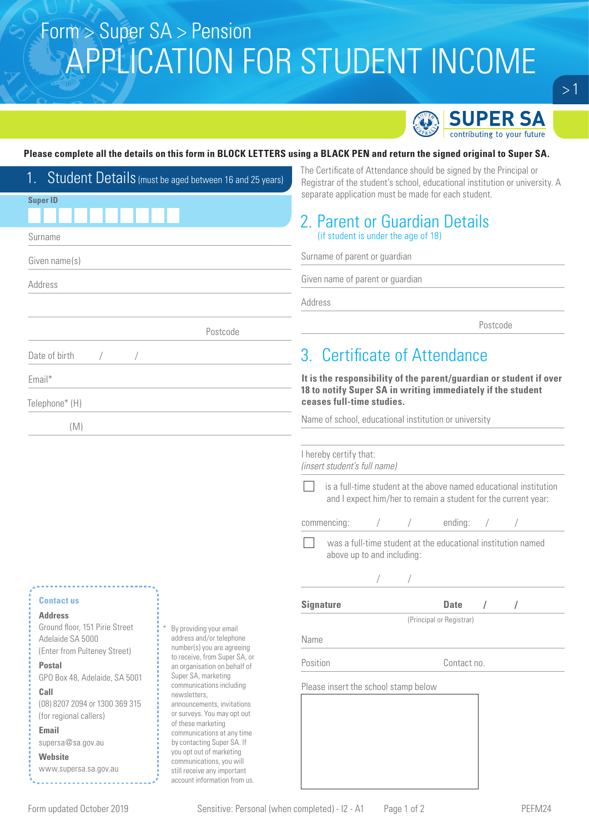# Form > Super SA > Pension APPLICATION FOR STUDENT INCOME



### **Please complete all the details on this form in BLOCK LETTERS using a BLACK PEN and return the signed original to Super SA.**

| 1. Student Details (must be aged between 16 and 25 years) |                                                               | The Certificate of Attendance should be signed by the Principal or<br>Registrar of the student's school, educational institution or university. A |  |  |  |
|-----------------------------------------------------------|---------------------------------------------------------------|---------------------------------------------------------------------------------------------------------------------------------------------------|--|--|--|
| <b>Super ID</b>                                           |                                                               | separate application must be made for each student.                                                                                               |  |  |  |
|                                                           |                                                               | 2. Parent or Guardian Details                                                                                                                     |  |  |  |
| Surname                                                   |                                                               | (if student is under the age of 18)                                                                                                               |  |  |  |
| Given name(s)                                             |                                                               | Surname of parent or guardian                                                                                                                     |  |  |  |
| Address                                                   |                                                               | Given name of parent or guardian                                                                                                                  |  |  |  |
|                                                           |                                                               | Address                                                                                                                                           |  |  |  |
|                                                           | Postcode                                                      | Postcode                                                                                                                                          |  |  |  |
| Date of birth                                             |                                                               | 3. Certificate of Attendance                                                                                                                      |  |  |  |
| Email*                                                    |                                                               | It is the responsibility of the parent/guardian or student if over<br>18 to notify Super SA in writing immediately if the student                 |  |  |  |
| Telephone* (H)                                            |                                                               | ceases full-time studies.                                                                                                                         |  |  |  |
| (M)                                                       |                                                               | Name of school, educational institution or university                                                                                             |  |  |  |
|                                                           |                                                               | I hereby certify that:<br>(insert student's full name)                                                                                            |  |  |  |
|                                                           |                                                               | is a full-time student at the above named educational institution<br>and I expect him/her to remain a student for the current year:               |  |  |  |
|                                                           |                                                               | commencing:<br>ending:                                                                                                                            |  |  |  |
|                                                           |                                                               | was a full-time student at the educational institution named<br>above up to and including:                                                        |  |  |  |
|                                                           |                                                               |                                                                                                                                                   |  |  |  |
| <b>Contact us</b>                                         |                                                               | <b>Signature</b><br>Date<br>$\sqrt{2}$                                                                                                            |  |  |  |
| <b>Address</b>                                            |                                                               | (Principal or Registrar)                                                                                                                          |  |  |  |
| Ground floor, 151 Pirie Street<br>Adelaide SA 5000        | By providing your email<br>address and/or telephone           | Name                                                                                                                                              |  |  |  |
| (Enter from Pulteney Street)                              | number(s) you are agreeing                                    |                                                                                                                                                   |  |  |  |
| <b>Postal</b>                                             | to receive, from Super SA, or<br>an organisation on behalf of | Position<br>Contact no.                                                                                                                           |  |  |  |
| GPO Box 48, Adelaide, SA 5001                             | Super SA, marketing<br>communications including               | Please insert the school stamp below                                                                                                              |  |  |  |
| Call                                                      | newsletters,                                                  |                                                                                                                                                   |  |  |  |
| (08) 8207 2094 or 1300 369 315<br>(for regional callers)  | announcements, invitations<br>or surveys. You may opt out     |                                                                                                                                                   |  |  |  |
| Email                                                     | of these marketing                                            |                                                                                                                                                   |  |  |  |
| supersa@sa.gov.au                                         | communications at any time<br>by contacting Super SA. If      |                                                                                                                                                   |  |  |  |
| <b>Website</b>                                            | you opt out of marketing<br>communications, you will          |                                                                                                                                                   |  |  |  |
| www.supersa.sa.gov.au                                     | still receive any important                                   |                                                                                                                                                   |  |  |  |
|                                                           | account information from us.                                  |                                                                                                                                                   |  |  |  |